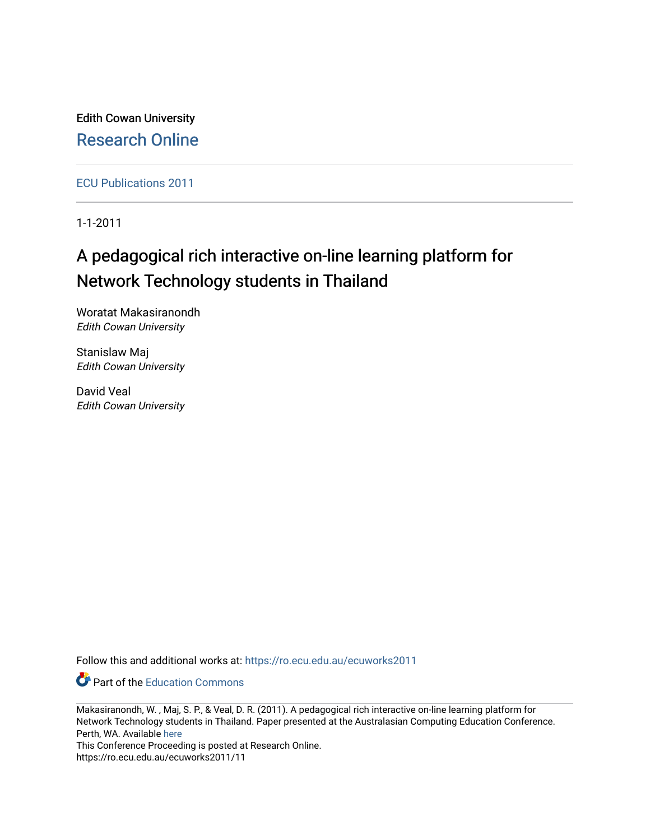Edith Cowan University [Research Online](https://ro.ecu.edu.au/) 

[ECU Publications 2011](https://ro.ecu.edu.au/ecuworks2011)

1-1-2011

# A pedagogical rich interactive on-line learning platform for Network Technology students in Thailand

Woratat Makasiranondh Edith Cowan University

Stanislaw Maj Edith Cowan University

David Veal Edith Cowan University

Follow this and additional works at: [https://ro.ecu.edu.au/ecuworks2011](https://ro.ecu.edu.au/ecuworks2011?utm_source=ro.ecu.edu.au%2Fecuworks2011%2F11&utm_medium=PDF&utm_campaign=PDFCoverPages) 

**Part of the [Education Commons](http://network.bepress.com/hgg/discipline/784?utm_source=ro.ecu.edu.au%2Fecuworks2011%2F11&utm_medium=PDF&utm_campaign=PDFCoverPages)** 

This Conference Proceeding is posted at Research Online. https://ro.ecu.edu.au/ecuworks2011/11

Makasiranondh, W. , Maj, S. P., & Veal, D. R. (2011). A pedagogical rich interactive on-line learning platform for Network Technology students in Thailand. Paper presented at the Australasian Computing Education Conference. Perth, WA. Available [here](http://crpit.com/Vol114.html)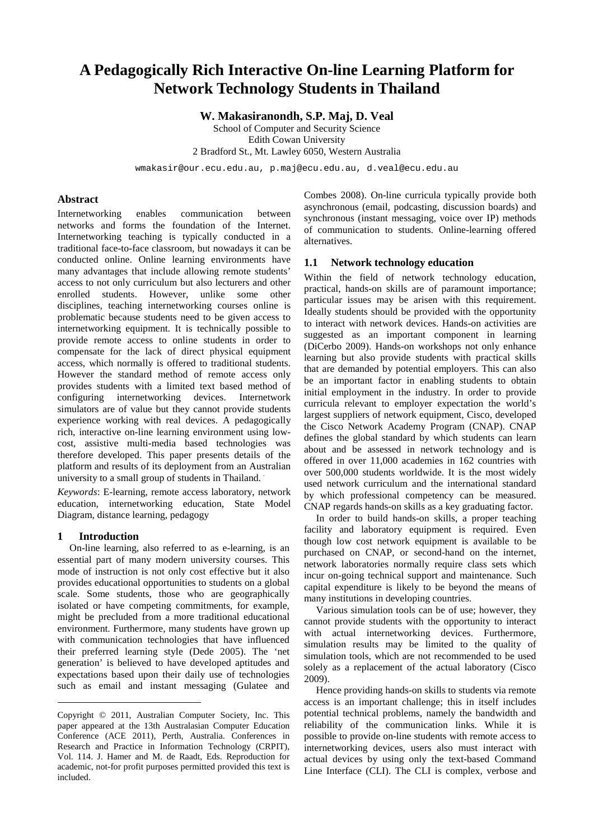# **A Pedagogically Rich Interactive On-line Learning Platform for Network Technology Students in Thailand**

**W. Makasiranondh, S.P. Maj, D. Veal**

School of Computer and Security Science Edith Cowan University 2 Bradford St., Mt. Lawley 6050, Western Australia

wmakasir@our.ecu.edu.au, p.maj@ecu.edu.au, d.veal@ecu.edu.au

#### **Abstract**

Internetworking enables communication between networks and forms the foundation of the Internet. Internetworking teaching is typically conducted in a traditional face-to-face classroom, but nowadays it can be conducted online. Online learning environments have many advantages that include allowing remote students' access to not only curriculum but also lecturers and other enrolled students. However, unlike some other disciplines, teaching internetworking courses online is problematic because students need to be given access to internetworking equipment. It is technically possible to provide remote access to online students in order to compensate for the lack of direct physical equipment access, which normally is offered to traditional students. However the standard method of remote access only provides students with a limited text based method of configuring internetworking devices. Internetwork simulators are of value but they cannot provide students experience working with real devices. A pedagogically rich, interactive on-line learning environment using lowcost, assistive multi-media based technologies was therefore developed. This paper presents details of the platform and results of its deployment from an Australian university to a small group of students in Thailand[.](#page-1-0)

*Keywords*: E-learning, remote access laboratory, network education, internetworking education, State Model Diagram, distance learning, pedagogy

#### **1 Introduction**

-

On-line learning, also referred to as e-learning, is an essential part of many modern university courses. This mode of instruction is not only cost effective but it also provides educational opportunities to students on a global scale. Some students, those who are geographically isolated or have competing commitments, for example, might be precluded from a more traditional educational environment. Furthermore, many students have grown up with communication technologies that have influenced their preferred learning style (Dede 2005). The 'net generation' is believed to have developed aptitudes and expectations based upon their daily use of technologies such as email and instant messaging (Gulatee and Combes 2008). On-line curricula typically provide both asynchronous (email, podcasting, discussion boards) and synchronous (instant messaging, voice over IP) methods of communication to students. Online-learning offered alternatives.

#### **1.1 Network technology education**

Within the field of network technology education, practical, hands-on skills are of paramount importance; particular issues may be arisen with this requirement. Ideally students should be provided with the opportunity to interact with network devices. Hands-on activities are suggested as an important component in learning (DiCerbo 2009). Hands-on workshops not only enhance learning but also provide students with practical skills that are demanded by potential employers. This can also be an important factor in enabling students to obtain initial employment in the industry. In order to provide curricula relevant to employer expectation the world's largest suppliers of network equipment, Cisco, developed the Cisco Network Academy Program (CNAP). CNAP defines the global standard by which students can learn about and be assessed in network technology and is offered in over 11,000 academies in 162 countries with over 500,000 students worldwide. It is the most widely used network curriculum and the international standard by which professional competency can be measured. CNAP regards hands-on skills as a key graduating factor.

In order to build hands-on skills, a proper teaching facility and laboratory equipment is required. Even though low cost network equipment is available to be purchased on CNAP, or second-hand on the internet, network laboratories normally require class sets which incur on-going technical support and maintenance. Such capital expenditure is likely to be beyond the means of many institutions in developing countries.

Various simulation tools can be of use; however, they cannot provide students with the opportunity to interact with actual internetworking devices. Furthermore, simulation results may be limited to the quality of simulation tools, which are not recommended to be used solely as a replacement of the actual laboratory (Cisco 2009).

Hence providing hands-on skills to students via remote access is an important challenge; this in itself includes potential technical problems, namely the bandwidth and reliability of the communication links. While it is possible to provide on-line students with remote access to internetworking devices, users also must interact with actual devices by using only the text-based Command Line Interface (CLI). The CLI is complex, verbose and

<span id="page-1-0"></span>Copyright © 2011, Australian Computer Society, Inc. This paper appeared at the 13th Australasian Computer Education Conference (ACE 2011), Perth, Australia. Conferences in Research and Practice in Information Technology (CRPIT), Vol. 114. J. Hamer and M. de Raadt, Eds. Reproduction for academic, not-for profit purposes permitted provided this text is included.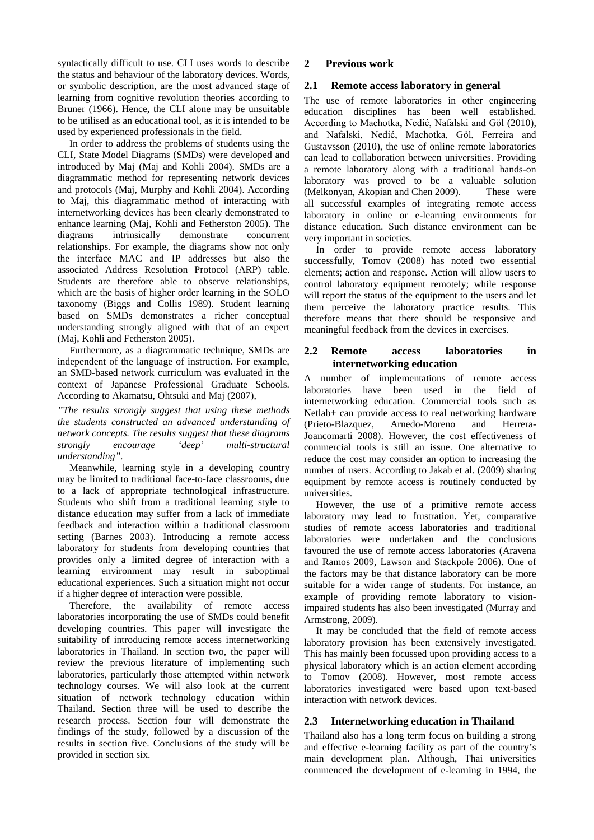syntactically difficult to use. CLI uses words to describe the status and behaviour of the laboratory devices. Words, or symbolic description, are the most advanced stage of learning from cognitive revolution theories according to Bruner (1966). Hence, the CLI alone may be unsuitable to be utilised as an educational tool, as it is intended to be used by experienced professionals in the field.

In order to address the problems of students using the CLI, State Model Diagrams (SMDs) were developed and introduced by Maj (Maj and Kohli 2004). SMDs are a diagrammatic method for representing network devices and protocols (Maj, Murphy and Kohli 2004). According to Maj, this diagrammatic method of interacting with internetworking devices has been clearly demonstrated to enhance learning (Maj, Kohli and Fetherston 2005). The diagrams intrinsically demonstrate concurrent relationships. For example, the diagrams show not only the interface MAC and IP addresses but also the associated Address Resolution Protocol (ARP) table. Students are therefore able to observe relationships, which are the basis of higher order learning in the SOLO taxonomy (Biggs and Collis 1989). Student learning based on SMDs demonstrates a richer conceptual understanding strongly aligned with that of an expert (Maj, Kohli and Fetherston 2005).

Furthermore, as a diagrammatic technique, SMDs are independent of the language of instruction. For example, an SMD-based network curriculum was evaluated in the context of Japanese Professional Graduate Schools. According to Akamatsu, Ohtsuki and Maj (2007),

*"The results strongly suggest that using these methods the students constructed an advanced understanding of network concepts. The results suggest that these diagrams strongly encourage 'deep' multi-structural understanding".* 

Meanwhile, learning style in a developing country may be limited to traditional face-to-face classrooms, due to a lack of appropriate technological infrastructure. Students who shift from a traditional learning style to distance education may suffer from a lack of immediate feedback and interaction within a traditional classroom setting (Barnes 2003). Introducing a remote access laboratory for students from developing countries that provides only a limited degree of interaction with a learning environment may result in suboptimal educational experiences. Such a situation might not occur if a higher degree of interaction were possible.

Therefore, the availability of remote access laboratories incorporating the use of SMDs could benefit developing countries. This paper will investigate the suitability of introducing remote access internetworking laboratories in Thailand. In section two, the paper will review the previous literature of implementing such laboratories, particularly those attempted within network technology courses. We will also look at the current situation of network technology education within Thailand. Section three will be used to describe the research process. Section four will demonstrate the findings of the study, followed by a discussion of the results in section five. Conclusions of the study will be provided in section six.

## **2 Previous work**

#### **2.1 Remote access laboratory in general**

The use of remote laboratories in other engineering education disciplines has been well established. According to Machotka, Nedić, Nafalski and Göl (2010), and Nafalski, Nedić, Machotka, Göl, Ferreira and Gustavsson (2010), the use of online remote laboratories can lead to collaboration between universities. Providing a remote laboratory along with a traditional hands-on laboratory was proved to be a valuable solution (Melkonyan, Akopian and Chen 2009). These were all successful examples of integrating remote access laboratory in online or e-learning environments for distance education. Such distance environment can be very important in societies.

In order to provide remote access laboratory successfully, Tomov (2008) has noted two essential elements; action and response. Action will allow users to control laboratory equipment remotely; while response will report the status of the equipment to the users and let them perceive the laboratory practice results. This therefore means that there should be responsive and meaningful feedback from the devices in exercises.

#### **2.2 Remote access laboratories in internetworking education**

A number of implementations of remote access laboratories have been used in the field of internetworking education. Commercial tools such as Netlab+ can provide access to real networking hardware (Prieto-Blazquez, Arnedo-Moreno and Herrera-Joancomarti 2008). However, the cost effectiveness of commercial tools is still an issue. One alternative to reduce the cost may consider an option to increasing the number of users. According to Jakab et al. (2009) sharing equipment by remote access is routinely conducted by universities.

However, the use of a primitive remote access laboratory may lead to frustration. Yet, comparative studies of remote access laboratories and traditional laboratories were undertaken and the conclusions favoured the use of remote access laboratories (Aravena and Ramos 2009, Lawson and Stackpole 2006). One of the factors may be that distance laboratory can be more suitable for a wider range of students. For instance, an example of providing remote laboratory to visionimpaired students has also been investigated (Murray and Armstrong, 2009).

It may be concluded that the field of remote access laboratory provision has been extensively investigated. This has mainly been focussed upon providing access to a physical laboratory which is an action element according to Tomov (2008). However, most remote access laboratories investigated were based upon text-based interaction with network devices.

### **2.3 Internetworking education in Thailand**

Thailand also has a long term focus on building a strong and effective e-learning facility as part of the country's main development plan. Although, Thai universities commenced the development of e-learning in 1994, the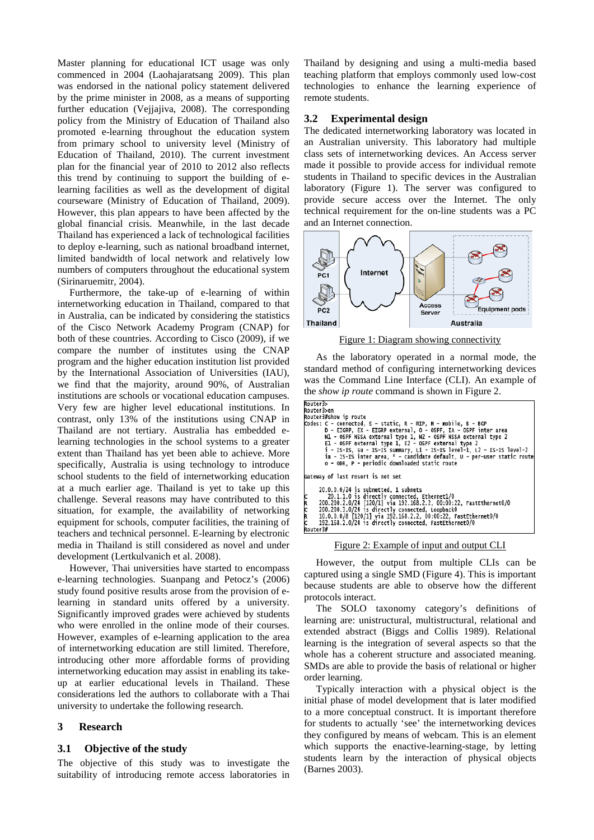Master planning for educational ICT usage was only commenced in 2004 (Laohajaratsang 2009). This plan was endorsed in the national policy statement delivered by the prime minister in 2008, as a means of supporting further education (Vejjajiva, 2008). The corresponding policy from the Ministry of Education of Thailand also promoted e-learning throughout the education system from primary school to university level (Ministry of Education of Thailand, 2010). The current investment plan for the financial year of 2010 to 2012 also reflects this trend by continuing to support the building of elearning facilities as well as the development of digital courseware (Ministry of Education of Thailand, 2009). However, this plan appears to have been affected by the global financial crisis. Meanwhile, in the last decade Thailand has experienced a lack of technological facilities to deploy e-learning, such as national broadband internet, limited bandwidth of local network and relatively low numbers of computers throughout the educational system (Sirinaruemitr, 2004).

Furthermore, the take-up of e-learning of within internetworking education in Thailand, compared to that in Australia, can be indicated by considering the statistics of the Cisco Network Academy Program (CNAP) for both of these countries. According to Cisco (2009), if we compare the number of institutes using the CNAP program and the higher education institution list provided by the International Association of Universities (IAU), we find that the majority, around 90%, of Australian institutions are schools or vocational education campuses. Very few are higher level educational institutions. In contrast, only 13% of the institutions using CNAP in Thailand are not tertiary. Australia has embedded elearning technologies in the school systems to a greater extent than Thailand has yet been able to achieve. More specifically, Australia is using technology to introduce school students to the field of internetworking education at a much earlier age. Thailand is yet to take up this challenge. Several reasons may have contributed to this situation, for example, the availability of networking equipment for schools, computer facilities, the training of teachers and technical personnel. E-learning by electronic media in Thailand is still considered as novel and under development (Lertkulvanich et al. 2008).

However, Thai universities have started to encompass e-learning technologies. Suanpang and Petocz's (2006) study found positive results arose from the provision of elearning in standard units offered by a university. Significantly improved grades were achieved by students who were enrolled in the online mode of their courses. However, examples of e-learning application to the area of internetworking education are still limited. Therefore, introducing other more affordable forms of providing internetworking education may assist in enabling its takeup at earlier educational levels in Thailand. These considerations led the authors to collaborate with a Thai university to undertake the following research.

### **3 Research**

#### **3.1 Objective of the study**

The objective of this study was to investigate the suitability of introducing remote access laboratories in Thailand by designing and using a multi-media based teaching platform that employs commonly used low-cost technologies to enhance the learning experience of remote students.

#### **3.2 Experimental design**

The dedicated internetworking laboratory was located in an Australian university. This laboratory had multiple class sets of internetworking devices. An Access server made it possible to provide access for individual remote students in Thailand to specific devices in the Australian laboratory (Figure 1). The server was configured to provide secure access over the Internet. The only technical requirement for the on-line students was a PC and an Internet connection.



Figure 1: Diagram showing connectivity

As the laboratory operated in a normal mode, the standard method of configuring internetworking devices was the Command Line Interface (CLI). An example of the *show ip route* command is shown in Figure 2.

| Router3>                                                                      |  |  |  |  |  |  |  |
|-------------------------------------------------------------------------------|--|--|--|--|--|--|--|
| Router3>en                                                                    |  |  |  |  |  |  |  |
| Router3#show ip route                                                         |  |  |  |  |  |  |  |
| Codes: C - connected, S - static, R - RIP, M - mobile, B - BGP                |  |  |  |  |  |  |  |
| D - EIGRP, EX - EIGRP external, O - OSPF, IA - OSPF inter area                |  |  |  |  |  |  |  |
| N1 - OSPF NSSA external type 1. N2 - OSPF NSSA external type 2                |  |  |  |  |  |  |  |
| E1 - OSPF external type 1, E2 - OSPF external type 2                          |  |  |  |  |  |  |  |
| i - IS-IS, su - IS-IS summary, L1 - IS-IS level-1, L2 - IS-IS level-2         |  |  |  |  |  |  |  |
| ia - IS-IS inter area. * - candidate default. U - per-user static route       |  |  |  |  |  |  |  |
|                                                                               |  |  |  |  |  |  |  |
| o - ODR. P - periodic downloaded static route                                 |  |  |  |  |  |  |  |
|                                                                               |  |  |  |  |  |  |  |
| Gateway of last resort is not set                                             |  |  |  |  |  |  |  |
|                                                                               |  |  |  |  |  |  |  |
| $20.0.0.0/24$ is subnetted. 1 subnets                                         |  |  |  |  |  |  |  |
| 20.1.1.0 is directly connected. Ethernet1/0                                   |  |  |  |  |  |  |  |
| 200.200.2.0/24 [120/1] via 192.168.2.2, 00:00:22, FastEthernet0/0             |  |  |  |  |  |  |  |
| 200.200.3.0/24 is directly connected, Loopback0                               |  |  |  |  |  |  |  |
| <b>CRCRC</b><br>10.0.0.0/8 [120/1] via 192.168.2.2, 00:00:22, FastEthernet0/0 |  |  |  |  |  |  |  |
| 192.168.2.0/24 is directly connected. FastEthernet0/0                         |  |  |  |  |  |  |  |
| Router3#                                                                      |  |  |  |  |  |  |  |

Figure 2: Example of input and output CLI

However, the output from multiple CLIs can be captured using a single SMD (Figure 4). This is important because students are able to observe how the different protocols interact.

The SOLO taxonomy category's definitions of learning are: unistructural, multistructural, relational and extended abstract (Biggs and Collis 1989). Relational learning is the integration of several aspects so that the whole has a coherent structure and associated meaning. SMDs are able to provide the basis of relational or higher order learning.

Typically interaction with a physical object is the initial phase of model development that is later modified to a more conceptual construct. It is important therefore for students to actually 'see' the internetworking devices they configured by means of webcam. This is an element which supports the enactive-learning-stage, by letting students learn by the interaction of physical objects (Barnes 2003).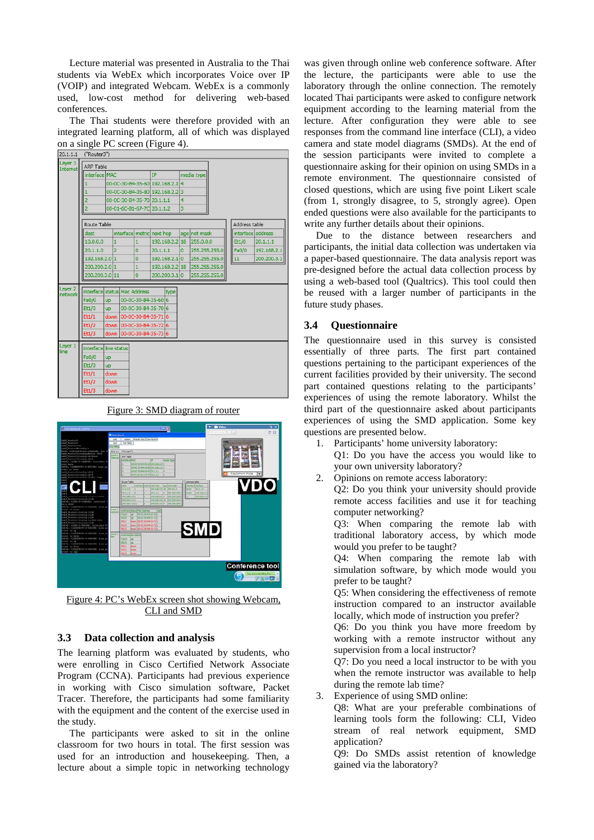Lecture material was presented in Australia to the Thai students via WebEx which incorporates Voice over IP (VOIP) and integrated Webcam. WebEx is a commonly used, low-cost method for delivering web-based conferences.

The Thai students were therefore provided with an integrated learning platform, all of which was displayed on a single PC screen (Figure 4).

| 20.1.1.1                   | ("Router3")                                  |               |                |                                 |                |                   |              |               |  |       |                   |  |
|----------------------------|----------------------------------------------|---------------|----------------|---------------------------------|----------------|-------------------|--------------|---------------|--|-------|-------------------|--|
| Layer 3<br><b>Internet</b> | ARP Table                                    |               |                |                                 |                |                   |              |               |  |       |                   |  |
|                            |                                              | interface MAC |                |                                 | <b>IP</b>      |                   | media type   |               |  |       |                   |  |
|                            |                                              |               |                | 00-0C-30-B4-35-60 192.168.2.1 4 |                |                   |              |               |  |       |                   |  |
|                            |                                              |               |                | 00-0C-30-B4-35-80 192.168.2.2 3 |                |                   |              |               |  |       |                   |  |
|                            | 2                                            |               |                | 00-0C-30-B4-35-70 20.1.1.1      |                | 4                 |              |               |  |       |                   |  |
|                            | $\overline{2}$<br>00-01-6C-81-67-7C 20.1.1.2 |               |                |                                 |                | 3                 |              |               |  |       |                   |  |
|                            |                                              |               | Address table  |                                 |                |                   |              |               |  |       |                   |  |
|                            | Route Table<br>interface metric next hop     |               |                |                                 |                |                   |              |               |  |       |                   |  |
|                            | dest                                         | 1             |                |                                 |                |                   | age          | net mask      |  |       | interface address |  |
|                            | 10.0.0.0                                     |               |                | $\mathbf{1}$                    |                | 192, 168, 2, 2 18 |              | 255,0,0,0     |  | Et1/0 | 20.1.1.1          |  |
|                            | 20.1.1.0                                     | 12.           | O              |                                 | 20.1.1.1       |                   | $\mathbf{0}$ | 255.255.255.0 |  | Fa0/0 | 192.168.2.1       |  |
|                            | 192,168,2,0 1                                |               | $\overline{0}$ |                                 | 192.168.2.1 0  |                   |              | 255.255.255.0 |  | 11    | 200.200.3.1       |  |
|                            | 200.200.2.0 1                                |               | п              |                                 | 192.168.2.2 18 |                   |              | 255.255.255.0 |  |       |                   |  |
|                            | 200.200.3.0 11                               |               | $\overline{0}$ |                                 | 200.200.3.1 0  |                   |              | 255.255.255.0 |  |       |                   |  |
| Layer 2                    | interface status   Mac Address<br>type       |               |                |                                 |                |                   |              |               |  |       |                   |  |
| network                    | Fa0/0                                        | <b>up</b>     |                | 00-0C-30-B4-35-60 6             |                |                   |              |               |  |       |                   |  |
|                            | Et1/0                                        | <b>up</b>     |                | 00-0C-30-B4-35-70 6             |                |                   |              |               |  |       |                   |  |
|                            | Et1/1                                        |               |                | down 00-0C-30-B4-35-71 6        |                |                   |              |               |  |       |                   |  |
|                            | Et1/2                                        |               |                | down 00-0C-30-B4-35-72 6        |                |                   |              |               |  |       |                   |  |
|                            | Et1/3                                        |               |                | down 00-0C-30-B4-35-73 6        |                |                   |              |               |  |       |                   |  |
| Layer 1                    |                                              |               |                |                                 |                |                   |              |               |  |       |                   |  |
| line                       | interface line status                        |               |                |                                 |                |                   |              |               |  |       |                   |  |
|                            | Fa0/0                                        | <b>up</b>     |                |                                 |                |                   |              |               |  |       |                   |  |
|                            | Et1/0                                        | <b>up</b>     |                |                                 |                |                   |              |               |  |       |                   |  |
|                            | Et1/1                                        | down          |                |                                 |                |                   |              |               |  |       |                   |  |
|                            | Et1/2                                        | down          |                |                                 |                |                   |              |               |  |       |                   |  |
|                            | Et1/3                                        | down          |                |                                 |                |                   |              |               |  |       |                   |  |
|                            |                                              |               |                |                                 |                |                   |              |               |  |       |                   |  |

Figure 3: SMD diagram of router



Figure 4: PC's WebEx screen shot showing Webcam, CLI and SMD

### **3.3 Data collection and analysis**

The learning platform was evaluated by students, who were enrolling in Cisco Certified Network Associate Program (CCNA). Participants had previous experience in working with Cisco simulation software, Packet Tracer. Therefore, the participants had some familiarity with the equipment and the content of the exercise used in the study.

The participants were asked to sit in the online classroom for two hours in total. The first session was used for an introduction and housekeeping. Then, a lecture about a simple topic in networking technology

was given through online web conference software. After the lecture, the participants were able to use the laboratory through the online connection. The remotely located Thai participants were asked to configure network equipment according to the learning material from the lecture. After configuration they were able to see responses from the command line interface (CLI), a video camera and state model diagrams (SMDs). At the end of the session participants were invited to complete a questionnaire asking for their opinion on using SMDs in a remote environment. The questionnaire consisted of closed questions, which are using five point Likert scale (from 1, strongly disagree, to 5, strongly agree). Open ended questions were also available for the participants to write any further details about their opinions.

Due to the distance between researchers and participants, the initial data collection was undertaken via a paper-based questionnaire. The data analysis report was pre-designed before the actual data collection process by using a web-based tool (Qualtrics). This tool could then be reused with a larger number of participants in the future study phases.

#### **3.4 Questionnaire**

The questionnaire used in this survey is consisted essentially of three parts. The first part contained questions pertaining to the participant experiences of the current facilities provided by their university. The second part contained questions relating to the participants' experiences of using the remote laboratory. Whilst the third part of the questionnaire asked about participants experiences of using the SMD application. Some key questions are presented below.

- 1. Participants' home university laboratory:
	- Q1: Do you have the access you would like to your own university laboratory?
- 2. Opinions on remote access laboratory:

Q2: Do you think your university should provide remote access facilities and use it for teaching computer networking?

Q3: When comparing the remote lab with traditional laboratory access, by which mode would you prefer to be taught?

Q4: When comparing the remote lab with simulation software, by which mode would you prefer to be taught?

Q5: When considering the effectiveness of remote instruction compared to an instructor available locally, which mode of instruction you prefer?

Q6: Do you think you have more freedom by working with a remote instructor without any supervision from a local instructor?

Q7: Do you need a local instructor to be with you when the remote instructor was available to help during the remote lab time?

3. Experience of using SMD online:

Q8: What are your preferable combinations of learning tools form the following: CLI, Video stream of real network equipment, SMD application?

Q9: Do SMDs assist retention of knowledge gained via the laboratory?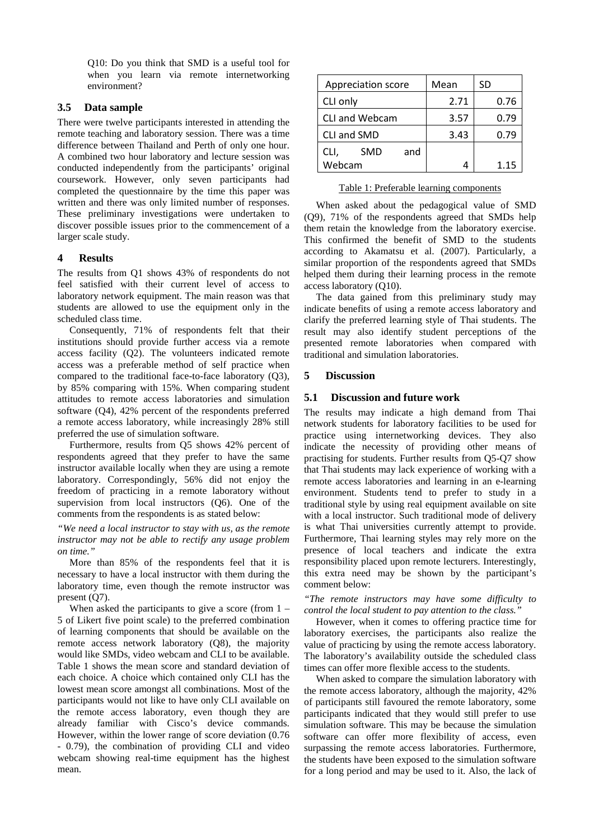Q10: Do you think that SMD is a useful tool for when you learn via remote internetworking environment?

## **3.5 Data sample**

There were twelve participants interested in attending the remote teaching and laboratory session. There was a time difference between Thailand and Perth of only one hour. A combined two hour laboratory and lecture session was conducted independently from the participants' original coursework. However, only seven participants had completed the questionnaire by the time this paper was written and there was only limited number of responses. These preliminary investigations were undertaken to discover possible issues prior to the commencement of a larger scale study.

# **4 Results**

The results from Q1 shows 43% of respondents do not feel satisfied with their current level of access to laboratory network equipment. The main reason was that students are allowed to use the equipment only in the scheduled class time.

Consequently, 71% of respondents felt that their institutions should provide further access via a remote access facility (Q2). The volunteers indicated remote access was a preferable method of self practice when compared to the traditional face-to-face laboratory (Q3), by 85% comparing with 15%. When comparing student attitudes to remote access laboratories and simulation software (Q4), 42% percent of the respondents preferred a remote access laboratory, while increasingly 28% still preferred the use of simulation software.

Furthermore, results from Q5 shows 42% percent of respondents agreed that they prefer to have the same instructor available locally when they are using a remote laboratory. Correspondingly, 56% did not enjoy the freedom of practicing in a remote laboratory without supervision from local instructors (Q6). One of the comments from the respondents is as stated below:

*"We need a local instructor to stay with us, as the remote instructor may not be able to rectify any usage problem on time."*

More than 85% of the respondents feel that it is necessary to have a local instructor with them during the laboratory time, even though the remote instructor was present (Q7).

When asked the participants to give a score (from  $1 -$ 5 of Likert five point scale) to the preferred combination of learning components that should be available on the remote access network laboratory (Q8), the majority would like SMDs, video webcam and CLI to be available. Table 1 shows the mean score and standard deviation of each choice. A choice which contained only CLI has the lowest mean score amongst all combinations. Most of the participants would not like to have only CLI available on the remote access laboratory, even though they are already familiar with Cisco's device commands. However, within the lower range of score deviation (0.76 - 0.79), the combination of providing CLI and video webcam showing real-time equipment has the highest mean.

|             | Appreciation score    | Mean | SD   |      |
|-------------|-----------------------|------|------|------|
| CLI only    |                       | 2.71 | 0.76 |      |
|             | <b>CLI and Webcam</b> | 3.57 | 0.79 |      |
| CLI and SMD |                       |      | 3.43 | 0.79 |
| CLI,        | <b>SMD</b>            | and  |      |      |
| Webcam      |                       | Δ    | 1.15 |      |

#### Table 1: Preferable learning components

When asked about the pedagogical value of SMD (Q9), 71% of the respondents agreed that SMDs help them retain the knowledge from the laboratory exercise. This confirmed the benefit of SMD to the students according to Akamatsu et al. (2007). Particularly, a similar proportion of the respondents agreed that SMDs helped them during their learning process in the remote access laboratory (Q10).

The data gained from this preliminary study may indicate benefits of using a remote access laboratory and clarify the preferred learning style of Thai students. The result may also identify student perceptions of the presented remote laboratories when compared with traditional and simulation laboratories.

# **5 Discussion**

# **5.1 Discussion and future work**

The results may indicate a high demand from Thai network students for laboratory facilities to be used for practice using internetworking devices. They also indicate the necessity of providing other means of practising for students. Further results from Q5-Q7 show that Thai students may lack experience of working with a remote access laboratories and learning in an e-learning environment. Students tend to prefer to study in a traditional style by using real equipment available on site with a local instructor. Such traditional mode of delivery is what Thai universities currently attempt to provide. Furthermore, Thai learning styles may rely more on the presence of local teachers and indicate the extra responsibility placed upon remote lecturers. Interestingly, this extra need may be shown by the participant's comment below:

*"The remote instructors may have some difficulty to control the local student to pay attention to the class."*

However, when it comes to offering practice time for laboratory exercises, the participants also realize the value of practicing by using the remote access laboratory. The laboratory's availability outside the scheduled class times can offer more flexible access to the students.

When asked to compare the simulation laboratory with the remote access laboratory, although the majority, 42% of participants still favoured the remote laboratory, some participants indicated that they would still prefer to use simulation software. This may be because the simulation software can offer more flexibility of access, even surpassing the remote access laboratories. Furthermore, the students have been exposed to the simulation software for a long period and may be used to it. Also, the lack of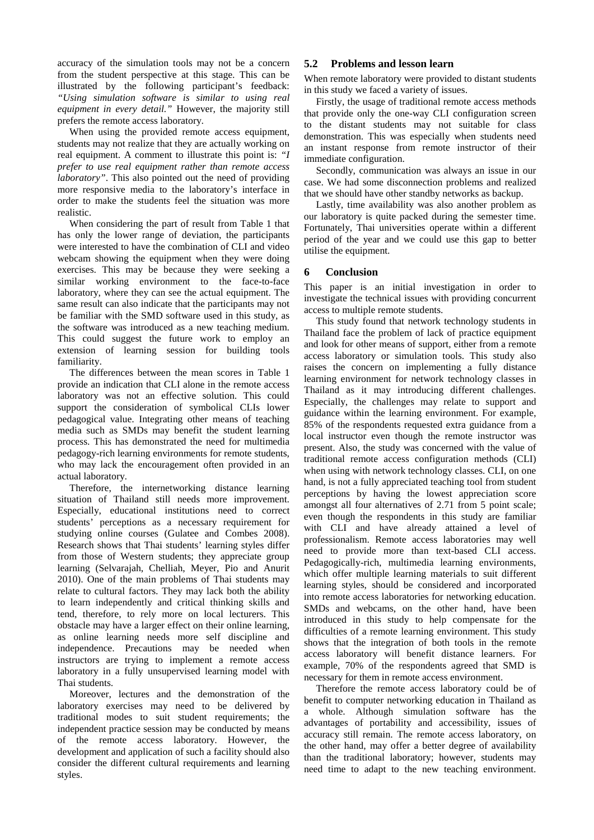accuracy of the simulation tools may not be a concern from the student perspective at this stage. This can be illustrated by the following participant's feedback: *"Using simulation software is similar to using real equipment in every detail."* However, the majority still prefers the remote access laboratory.

When using the provided remote access equipment, students may not realize that they are actually working on real equipment. A comment to illustrate this point is: *"I prefer to use real equipment rather than remote access laboratory"*. This also pointed out the need of providing more responsive media to the laboratory's interface in order to make the students feel the situation was more realistic.

When considering the part of result from Table 1 that has only the lower range of deviation, the participants were interested to have the combination of CLI and video webcam showing the equipment when they were doing exercises. This may be because they were seeking a similar working environment to the face-to-face laboratory, where they can see the actual equipment. The same result can also indicate that the participants may not be familiar with the SMD software used in this study, as the software was introduced as a new teaching medium. This could suggest the future work to employ an extension of learning session for building tools familiarity.

The differences between the mean scores in Table 1 provide an indication that CLI alone in the remote access laboratory was not an effective solution. This could support the consideration of symbolical CLIs lower pedagogical value. Integrating other means of teaching media such as SMDs may benefit the student learning process. This has demonstrated the need for multimedia pedagogy-rich learning environments for remote students, who may lack the encouragement often provided in an actual laboratory.

Therefore, the internetworking distance learning situation of Thailand still needs more improvement. Especially, educational institutions need to correct students' perceptions as a necessary requirement for studying online courses (Gulatee and Combes 2008). Research shows that Thai students' learning styles differ from those of Western students; they appreciate group learning (Selvarajah, Chelliah, Meyer, Pio and Anurit 2010). One of the main problems of Thai students may relate to cultural factors. They may lack both the ability to learn independently and critical thinking skills and tend, therefore, to rely more on local lecturers. This obstacle may have a larger effect on their online learning, as online learning needs more self discipline and independence. Precautions may be needed when instructors are trying to implement a remote access laboratory in a fully unsupervised learning model with Thai students.

Moreover, lectures and the demonstration of the laboratory exercises may need to be delivered by traditional modes to suit student requirements; the independent practice session may be conducted by means of the remote access laboratory. However, the development and application of such a facility should also consider the different cultural requirements and learning styles.

# **5.2 Problems and lesson learn**

When remote laboratory were provided to distant students in this study we faced a variety of issues.

Firstly, the usage of traditional remote access methods that provide only the one-way CLI configuration screen to the distant students may not suitable for class demonstration. This was especially when students need an instant response from remote instructor of their immediate configuration.

Secondly, communication was always an issue in our case. We had some disconnection problems and realized that we should have other standby networks as backup.

Lastly, time availability was also another problem as our laboratory is quite packed during the semester time. Fortunately, Thai universities operate within a different period of the year and we could use this gap to better utilise the equipment.

### **6 Conclusion**

This paper is an initial investigation in order to investigate the technical issues with providing concurrent access to multiple remote students.

This study found that network technology students in Thailand face the problem of lack of practice equipment and look for other means of support, either from a remote access laboratory or simulation tools. This study also raises the concern on implementing a fully distance learning environment for network technology classes in Thailand as it may introducing different challenges. Especially, the challenges may relate to support and guidance within the learning environment. For example, 85% of the respondents requested extra guidance from a local instructor even though the remote instructor was present. Also, the study was concerned with the value of traditional remote access configuration methods (CLI) when using with network technology classes. CLI, on one hand, is not a fully appreciated teaching tool from student perceptions by having the lowest appreciation score amongst all four alternatives of 2.71 from 5 point scale; even though the respondents in this study are familiar with CLI and have already attained a level of professionalism. Remote access laboratories may well need to provide more than text-based CLI access. Pedagogically-rich, multimedia learning environments, which offer multiple learning materials to suit different learning styles, should be considered and incorporated into remote access laboratories for networking education. SMDs and webcams, on the other hand, have been introduced in this study to help compensate for the difficulties of a remote learning environment. This study shows that the integration of both tools in the remote access laboratory will benefit distance learners. For example, 70% of the respondents agreed that SMD is necessary for them in remote access environment.

Therefore the remote access laboratory could be of benefit to computer networking education in Thailand as a whole. Although simulation software has the advantages of portability and accessibility, issues of accuracy still remain. The remote access laboratory, on the other hand, may offer a better degree of availability than the traditional laboratory; however, students may need time to adapt to the new teaching environment.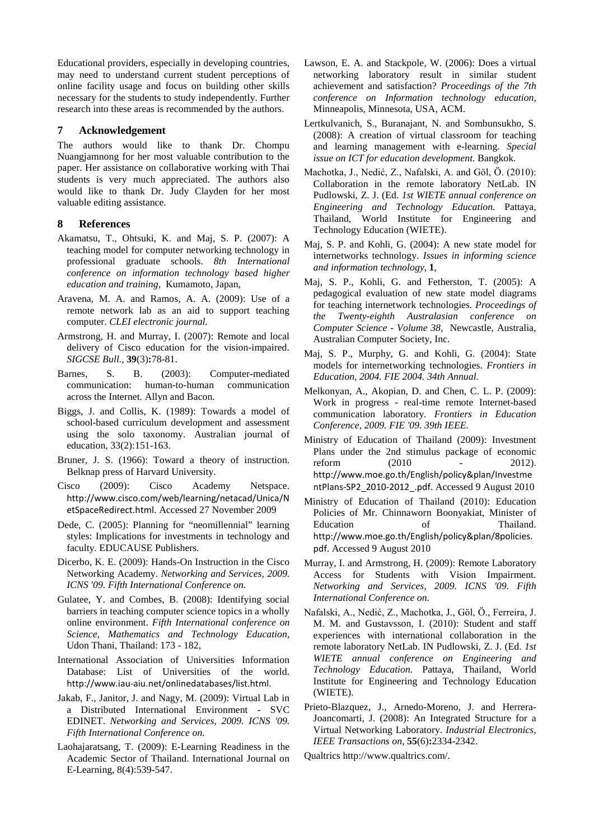Educational providers, especially in developing countries, may need to understand current student perceptions of online facility usage and focus on building other skills necessary for the students to study independently. Further research into these areas is recommended by the authors.

### **7 Acknowledgement**

The authors would like to thank Dr. Chompu Nuangjamnong for her most valuable contribution to the paper. Her assistance on collaborative working with Thai students is very much appreciated. The authors also would like to thank Dr. Judy Clayden for her most valuable editing assistance.

### **8 References**

- Akamatsu, T., Ohtsuki, K. and Maj, S. P. (2007): A teaching model for computer networking technology in professional graduate schools. *8th International conference on information technology based higher education and training,* Kumamoto, Japan,
- Aravena, M. A. and Ramos, A. A. (2009): Use of a remote network lab as an aid to support teaching computer. *CLEI electronic journal.*
- Armstrong, H. and Murray, I. (2007): Remote and local delivery of Cisco education for the vision-impaired. *SIGCSE Bull.,* **39**(3)**:**78-81.
- Barnes, S. B. (2003): Computer-mediated communication: human-to-human communication across the Internet. Allyn and Bacon.
- Biggs, J. and Collis, K. (1989): Towards a model of school-based curriculum development and assessment using the solo taxonomy. Australian journal of education, 33(2):151-163.
- Bruner, J. S. (1966): Toward a theory of instruction. Belknap press of Harvard University.
- Cisco (2009): Cisco Academy Netspace. http://www.cisco.com/web/learning/netacad/Unica/N etSpaceRedirect.html. Accessed 27 November 2009
- Dede, C. (2005): Planning for "neomillennial" learning styles: Implications for investments in technology and faculty. EDUCAUSE Publishers.
- Dicerbo, K. E. (2009): Hands-On Instruction in the Cisco Networking Academy. *Networking and Services, 2009. ICNS '09. Fifth International Conference on.*
- Gulatee, Y. and Combes, B. (2008): Identifying social barriers in teaching computer science topics in a wholly online environment. *Fifth International conference on Science, Mathematics and Technology Education,*  Udon Thani, Thailand: 173 - 182,
- International Association of Universities Information Database: List of Universities of the world. http://www.iau-aiu.net/onlinedatabases/list.html.
- Jakab, F., Janitor, J. and Nagy, M. (2009): Virtual Lab in a Distributed International Environment - SVC EDINET. *Networking and Services, 2009. ICNS '09. Fifth International Conference on.*
- Laohajaratsang, T. (2009): E-Learning Readiness in the Academic Sector of Thailand. International Journal on E-Learning, 8(4):539-547.
- Lawson, E. A. and Stackpole, W. (2006): Does a virtual networking laboratory result in similar student achievement and satisfaction? *Proceedings of the 7th conference on Information technology education,*  Minneapolis, Minnesota, USA, ACM.
- Lertkulvanich, S., Buranajant, N. and Sombunsukho, S. (2008): A creation of virtual classroom for teaching and learning management with e-learning. *Special issue on ICT for education development.* Bangkok.
- Machotka, J., Nedić, Z., Nafalski, A. and Göl, Ö. (2010): Collaboration in the remote laboratory NetLab. IN Pudlowski, Z. J. (Ed. *1st WIETE annual conference on Engineering and Technology Education.* Pattaya, Thailand, World Institute for Engineering and Technology Education (WIETE).
- Maj, S. P. and Kohli, G. (2004): A new state model for internetworks technology. *Issues in informing science and information technology,* **1**,
- Maj, S. P., Kohli, G. and Fetherston, T. (2005): A pedagogical evaluation of new state model diagrams for teaching internetwork technologies. *Proceedings of the Twenty-eighth Australasian conference on Computer Science - Volume 38,* Newcastle, Australia, Australian Computer Society, Inc.
- Maj, S. P., Murphy, G. and Kohli, G. (2004): State models for internetworking technologies. *Frontiers in Education, 2004. FIE 2004. 34th Annual.*
- Melkonyan, A., Akopian, D. and Chen, C. L. P. (2009): Work in progress - real-time remote Internet-based communication laboratory. *Frontiers in Education Conference, 2009. FIE '09. 39th IEEE.*
- Ministry of Education of Thailand (2009): Investment Plans under the 2nd stimulus package of economic reform (2010 - 2012). http://www.moe.go.th/English/policy&plan/Investme ntPlans-SP2\_2010-2012\_.pdf. Accessed 9 August 2010
- Ministry of Education of Thailand (2010): Education Policies of Mr. Chinnaworn Boonyakiat, Minister of Education of Thailand. http://www.moe.go.th/English/policy&plan/8policies. pdf. Accessed 9 August 2010
- Murray, I. and Armstrong, H. (2009): Remote Laboratory Access for Students with Vision Impairment. *Networking and Services, 2009. ICNS '09. Fifth International Conference on.*
- Nafalski, A., Nedić, Z., Machotka, J., Göl, Ö., Ferreira, J. M. M. and Gustavsson, I. (2010): Student and staff experiences with international collaboration in the remote laboratory NetLab. IN Pudlowski, Z. J. (Ed. *1st WIETE annual conference on Engineering and Technology Education.* Pattaya, Thailand, World Institute for Engineering and Technology Education (WIETE).
- Prieto-Blazquez, J., Arnedo-Moreno, J. and Herrera-Joancomarti, J. (2008): An Integrated Structure for a Virtual Networking Laboratory. *Industrial Electronics, IEEE Transactions on,* **55**(6)**:**2334-2342.
- Qualtrics http://www.qualtrics.com/.